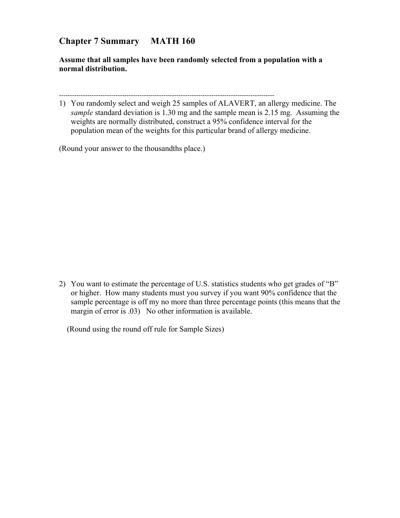## **Chapter 7 Summary MATH 160**

**Assume that all samples have been randomly selected from a population with a normal distribution.**

---------------------------------------------------------------------------------------------------

1) You randomly select and weigh 25 samples of ALAVERT, an allergy medicine. The *sample* standard deviation is 1.30 mg and the sample mean is 2.15 mg. Assuming the weights are normally distributed, construct a 95% confidence interval for the population mean of the weights for this particular brand of allergy medicine.

(Round your answer to the thousandths place.)

2) You want to estimate the percentage of U.S. statistics students who get grades of "B" or higher. How many students must you survey if you want 90% confidence that the sample percentage is off my no more than three percentage points (this means that the margin of error is .03) No other information is available.

(Round using the round off rule for Sample Sizes)